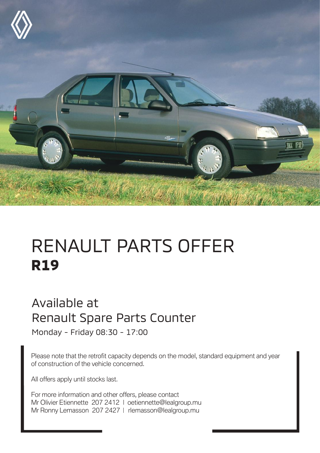

## RENAULT PARTS OFFER **R19**

## Available at Renault Spare Parts Counter

Monday - Friday 08:30 - 17:00

Please note that the retrofit capacity depends on the model, standard equipment and year of construction of the vehicle concerned.

All offers apply until stocks last.

For more information and other offers, please contact Mr Olivier Etiennette 207 2412 | oetiennette@lealgroup.mu Mr Ronny Lemasson 207 2427 | rlemasson@lealgroup.mu